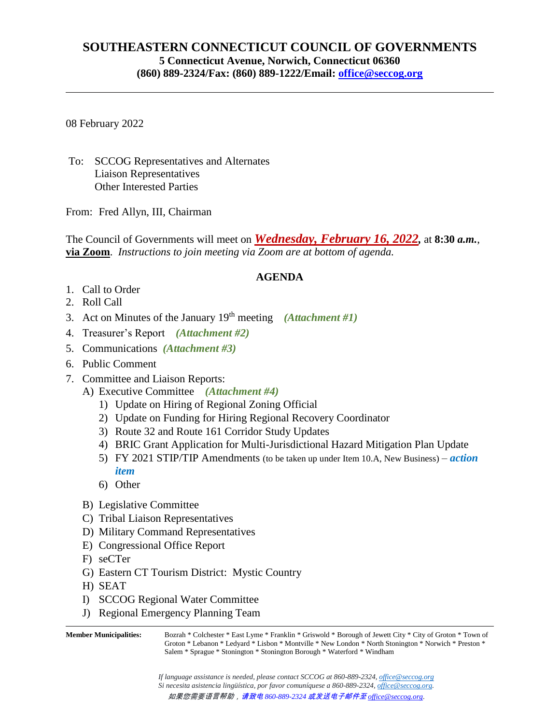## **SOUTHEASTERN CONNECTICUT COUNCIL OF GOVERNMENTS 5 Connecticut Avenue, Norwich, Connecticut 06360 (860) 889-2324/Fax: (860) 889-1222/Email: [office@seccog.org](mailto:seccog@snet.net)**

08 February 2022

To: SCCOG Representatives and Alternates Liaison Representatives Other Interested Parties

From: Fred Allyn, III, Chairman

The Council of Governments will meet on *Wednesday, February 16, 2022,* at **8:30** *a.m.*, **via Zoom**. *Instructions to join meeting via Zoom are at bottom of agenda.*

## **AGENDA**

- 1. Call to Order
- 2. Roll Call
- 3. Act on Minutes of the January 19th meeting *(Attachment #1)*
- 4. Treasurer's Report *(Attachment #2)*
- 5. Communications *(Attachment #3)*
- 6. Public Comment
- 7. Committee and Liaison Reports:
	- A) Executive Committee *(Attachment #4)*
		- 1) Update on Hiring of Regional Zoning Official
		- 2) Update on Funding for Hiring Regional Recovery Coordinator
		- 3) Route 32 and Route 161 Corridor Study Updates
		- 4) BRIC Grant Application for Multi-Jurisdictional Hazard Mitigation Plan Update
		- 5) FY 2021 STIP/TIP Amendments (to be taken up under Item 10.A, New Business) *action item*
		- 6) Other
	- B) Legislative Committee
	- C) Tribal Liaison Representatives
	- D) Military Command Representatives
	- E) Congressional Office Report
	- F) seCTer
	- G) Eastern CT Tourism District: Mystic Country
	- H) SEAT
	- I) SCCOG Regional Water Committee
	- J) Regional Emergency Planning Team

**Member Municipalities:** Bozrah \* Colchester \* East Lyme \* Franklin \* Griswold \* Borough of Jewett City \* City of Groton \* Town of Groton \* Lebanon \* Ledyard \* Lisbon \* Montville \* New London \* North Stonington \* Norwich \* Preston \* Salem \* Sprague \* Stonington \* Stonington Borough \* Waterford \* Windham